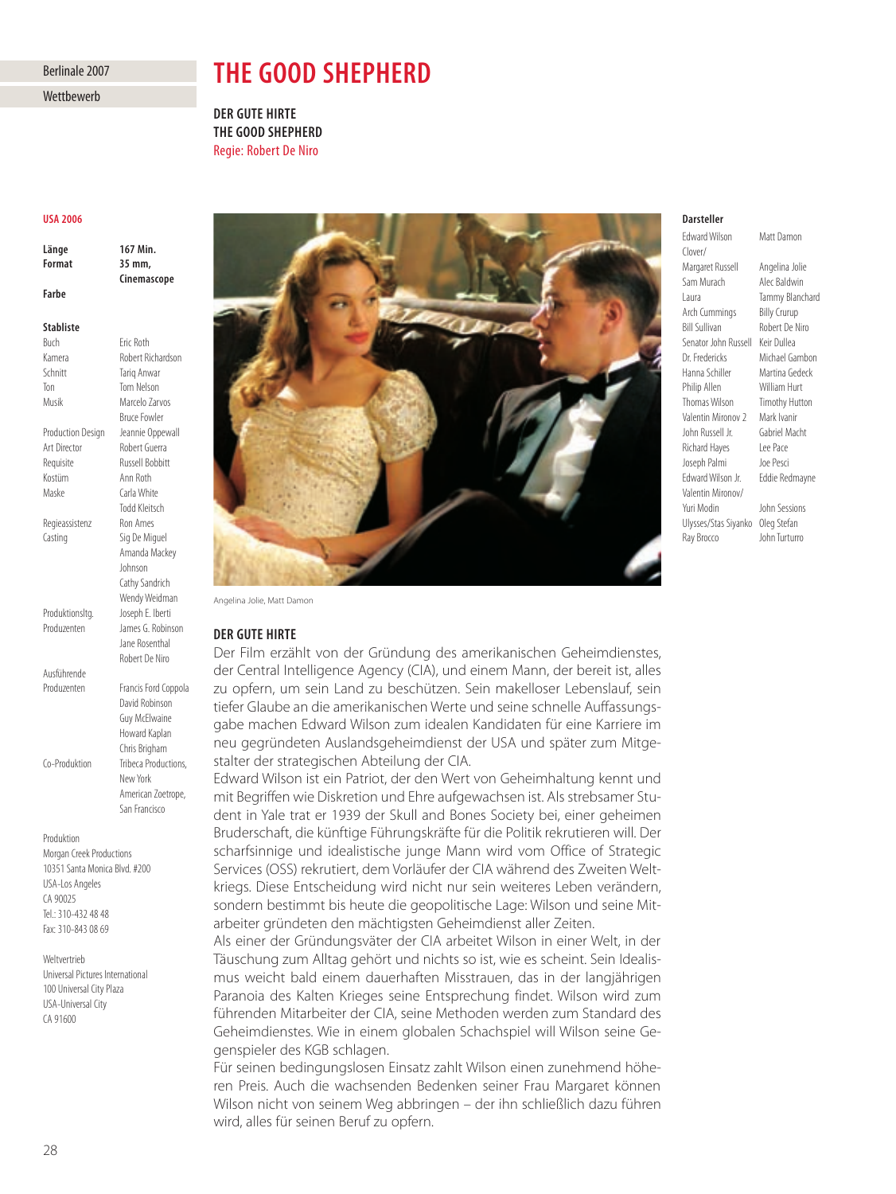# Berlinale 2007

**Wettbewerb** 

# **THE GOOD SHEPHERD**

**DER GUTE HIRTE THE GOOD SHEPHERD** Regie: Robert De Niro

#### **USA 2006**

**Länge 167 Min.** 167 Min. **Cinemascope Cinemascope Farbe** 

# **Stabliste**

**Buch Fric Roth** Kamera Robert Richardson Schnitt Tariq Anwar Ton Tom Nelson Musik Marcelo Zarvos Bruce Fowler Production Design Jeannie Oppewall Art Director Robert Guerra Requisite Russell Bobbitt Kostüm Ann Roth Maske Carla White Todd Kleitsch Regieassistenz Ron Ames Casting Sig De Miguel Amanda Mackey Johnson Cathy Sandrich Wendy Weidman Produktionsltg. Joseph E. Iberti Produzenten James G. Robinson Jane Rosenthal Robert De Niro Ausführende Produzenten Francis Ford Coppola David Robinson Guy McElwaine Howard Kaplan Chris Brigham

Co-Produktion Tribeca Productions,

New York American Zoetrope, San Francisco

Produktion Morgan Creek Productions 10351 Santa Monica Blvd. #200 USA-Los Angeles CA 90025 Tel.: 310-432 48 48 Fax: 310-843 08 69

Weltvertrieb Universal Pictures International 100 Universal City Plaza USA-Universal City CA 91600



Angelina Jolie, Matt Damon

### DER GUTE HIRTE

**DER GUTE HIRTE** Der Film erzählt von der Gründung des amerikanischen Geheimdienstes, der Central Intelligence Agency (CIA), und einem Mann, der bereit ist, alles zu opfern, um sein Land zu beschützen. Sein makelloser Lebenslauf, sein tiefer Glaube an die amerikanischen Werte und seine schnelle Auffassungsgabe machen Edward Wilson zum idealen Kandidaten für eine Karriere im neu gegründeten Auslandsgeheimdienst der USA und später zum Mitgestalter der strategischen Abteilung der CIA.

Edward Wilson ist ein Patriot, der den Wert von Geheimhaltung kennt und mit Begriffen wie Diskretion und Ehre aufgewachsen ist. Als strebsamer Stu dent in Yale trat er 1939 der Skull and Bones Society bei, einer geheimen Bruderschaft, die künftige Führungskräfte für die Politik rekrutieren will. Der scharfsinnige und idealistische junge Mann wird vom Office of Strategic Services (OSS) rekrutiert, dem Vorläufer der CIA während des Zweiten Weltkriegs. Diese Entscheidung wird nicht nur sein weiteres Leben verändern, sondern bestimmt bis heute die geopolitische Lage: Wilson und seine Mit arbeiter gründeten den mächtigsten Geheimdienst aller Zeiten.

Als einer der Gründungsväter der CIA arbeitet Wilson in einer Welt, in der Täuschung zum Alltag gehört und nichts so ist, wie es scheint. Sein Idealis mus weicht bald einem dauerhaften Misstrauen, das in der langjährigen Paranoia des Kalten Krieges seine Entsprechung findet. Wilson wird zum führenden Mitarbeiter der CIA, seine Methoden werden zum Standard des Geheimdienstes. Wie in einem globalen Schachspiel will Wilson seine Gegenspieler des KGB schlagen.

Für seinen bedingungslosen Einsatz zahlt Wilson einen zunehmend höheren Preis. Auch die wachsenden Bedenken seiner Frau Margaret können Wilson nicht von seinem Weg abbringen – der ihn schließlich dazu führen wird, alles für seinen Beruf zu opfern.

# **Darsteller**

**Edward Wilson** Clover/ Margaret Russell Angelina Jolie Sam Murach Alec Baldwin Laura Tammy Blanchard Arch Cummings Billy Crurup Bill Sullivan Robert De Niro Senator John Russell Keir Dullea Dr. Fredericks Michael Gambon Hanna Schiller Martina Gedeck<br>Philip Allen Milliam Hurt Thomas Wilson Timothy Hutton Valentin Mironov 2 Mark Ivanir John Russell Jr. Gabriel Macht Richard Hayes Lee Pace Joseph Palmi Joe Pesci Edward Wilson Jr. Eddie Redmayne Valentin Mironov/ Yuri Modin John Sessions Ulysses/Stas Siyanko Oleg Stefan Ray Brocco John Turturro

William Hurt

Matt Damon